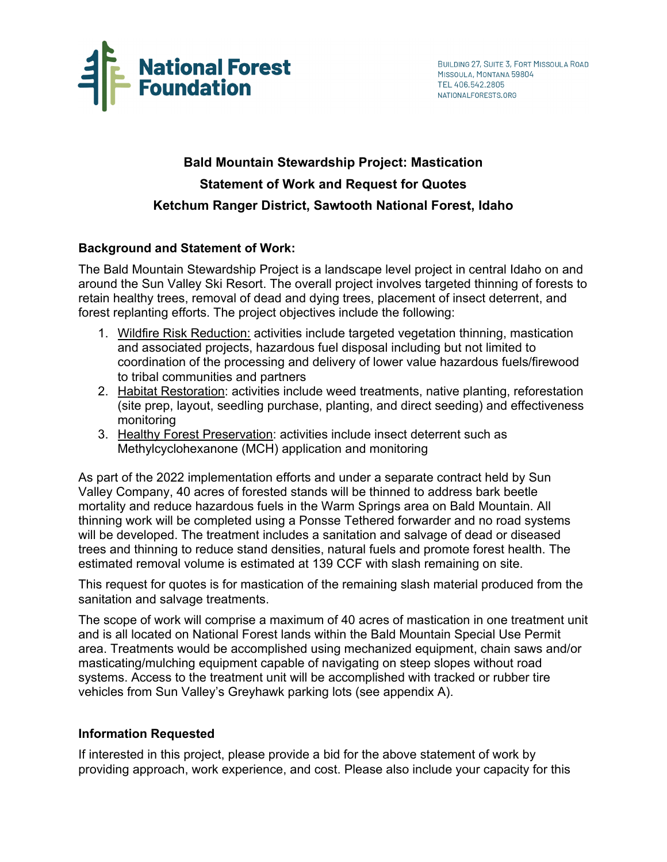

# **Bald Mountain Stewardship Project: Mastication Statement of Work and Request for Quotes Ketchum Ranger District, Sawtooth National Forest, Idaho**

# **Background and Statement of Work:**

The Bald Mountain Stewardship Project is a landscape level project in central Idaho on and around the Sun Valley Ski Resort. The overall project involves targeted thinning of forests to retain healthy trees, removal of dead and dying trees, placement of insect deterrent, and forest replanting efforts. The project objectives include the following:

- 1. Wildfire Risk Reduction: activities include targeted vegetation thinning, mastication and associated projects, hazardous fuel disposal including but not limited to coordination of the processing and delivery of lower value hazardous fuels/firewood to tribal communities and partners
- 2. Habitat Restoration: activities include weed treatments, native planting, reforestation (site prep, layout, seedling purchase, planting, and direct seeding) and effectiveness monitoring
- 3. Healthy Forest Preservation: activities include insect deterrent such as Methylcyclohexanone (MCH) application and monitoring

As part of the 2022 implementation efforts and under a separate contract held by Sun Valley Company, 40 acres of forested stands will be thinned to address bark beetle mortality and reduce hazardous fuels in the Warm Springs area on Bald Mountain. All thinning work will be completed using a Ponsse Tethered forwarder and no road systems will be developed. The treatment includes a sanitation and salvage of dead or diseased trees and thinning to reduce stand densities, natural fuels and promote forest health. The estimated removal volume is estimated at 139 CCF with slash remaining on site.

This request for quotes is for mastication of the remaining slash material produced from the sanitation and salvage treatments.

The scope of work will comprise a maximum of 40 acres of mastication in one treatment unit and is all located on National Forest lands within the Bald Mountain Special Use Permit area. Treatments would be accomplished using mechanized equipment, chain saws and/or masticating/mulching equipment capable of navigating on steep slopes without road systems. Access to the treatment unit will be accomplished with tracked or rubber tire vehicles from Sun Valley's Greyhawk parking lots (see appendix A).

## **Information Requested**

If interested in this project, please provide a bid for the above statement of work by providing approach, work experience, and cost. Please also include your capacity for this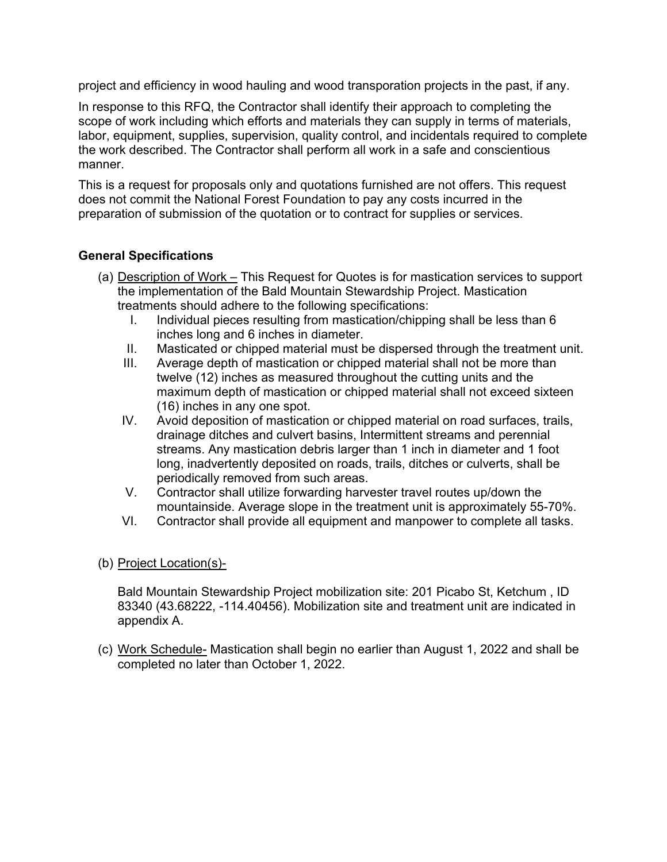project and efficiency in wood hauling and wood transporation projects in the past, if any.

In response to this RFQ, the Contractor shall identify their approach to completing the scope of work including which efforts and materials they can supply in terms of materials, labor, equipment, supplies, supervision, quality control, and incidentals required to complete the work described. The Contractor shall perform all work in a safe and conscientious manner.

This is a request for proposals only and quotations furnished are not offers. This request does not commit the National Forest Foundation to pay any costs incurred in the preparation of submission of the quotation or to contract for supplies or services.

# **General Specifications**

- (a) Description of Work This Request for Quotes is for mastication services to support the implementation of the Bald Mountain Stewardship Project. Mastication treatments should adhere to the following specifications:
	- I. Individual pieces resulting from mastication/chipping shall be less than 6 inches long and 6 inches in diameter.
	- II. Masticated or chipped material must be dispersed through the treatment unit.
	- III. Average depth of mastication or chipped material shall not be more than twelve (12) inches as measured throughout the cutting units and the maximum depth of mastication or chipped material shall not exceed sixteen (16) inches in any one spot.
	- IV. Avoid deposition of mastication or chipped material on road surfaces, trails, drainage ditches and culvert basins, Intermittent streams and perennial streams. Any mastication debris larger than 1 inch in diameter and 1 foot long, inadvertently deposited on roads, trails, ditches or culverts, shall be periodically removed from such areas.
	- V. Contractor shall utilize forwarding harvester travel routes up/down the mountainside. Average slope in the treatment unit is approximately 55-70%.
	- VI. Contractor shall provide all equipment and manpower to complete all tasks.
- (b) Project Location(s)-

Bald Mountain Stewardship Project mobilization site: 201 Picabo St, Ketchum , ID 83340 (43.68222, -114.40456). Mobilization site and treatment unit are indicated in appendix A.

(c) Work Schedule- Mastication shall begin no earlier than August 1, 2022 and shall be completed no later than October 1, 2022.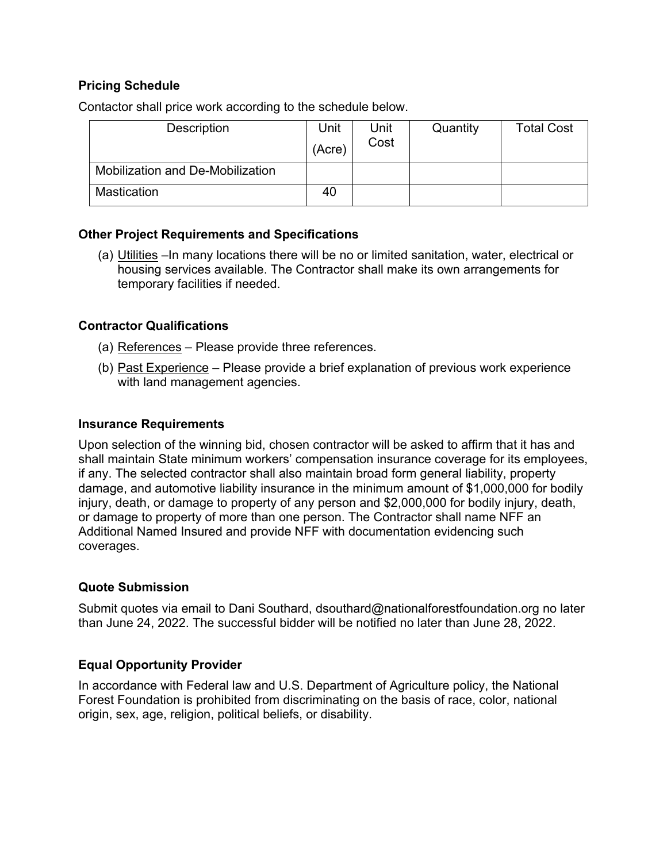## **Pricing Schedule**

Contactor shall price work according to the schedule below.

| Description                             | Unit<br>(Acre) | Unit<br>Cost | Quantity | <b>Total Cost</b> |
|-----------------------------------------|----------------|--------------|----------|-------------------|
| <b>Mobilization and De-Mobilization</b> |                |              |          |                   |
| <b>Mastication</b>                      | 40             |              |          |                   |

# **Other Project Requirements and Specifications**

(a) Utilities –In many locations there will be no or limited sanitation, water, electrical or housing services available. The Contractor shall make its own arrangements for temporary facilities if needed.

## **Contractor Qualifications**

- (a) References Please provide three references.
- (b) Past Experience Please provide a brief explanation of previous work experience with land management agencies.

#### **Insurance Requirements**

Upon selection of the winning bid, chosen contractor will be asked to affirm that it has and shall maintain State minimum workers' compensation insurance coverage for its employees, if any. The selected contractor shall also maintain broad form general liability, property damage, and automotive liability insurance in the minimum amount of \$1,000,000 for bodily injury, death, or damage to property of any person and \$2,000,000 for bodily injury, death, or damage to property of more than one person. The Contractor shall name NFF an Additional Named Insured and provide NFF with documentation evidencing such coverages.

## **Quote Submission**

Submit quotes via email to Dani Southard, dsouthard@nationalforestfoundation.org no later than June 24, 2022. The successful bidder will be notified no later than June 28, 2022.

## **Equal Opportunity Provider**

In accordance with Federal law and U.S. Department of Agriculture policy, the National Forest Foundation is prohibited from discriminating on the basis of race, color, national origin, sex, age, religion, political beliefs, or disability.